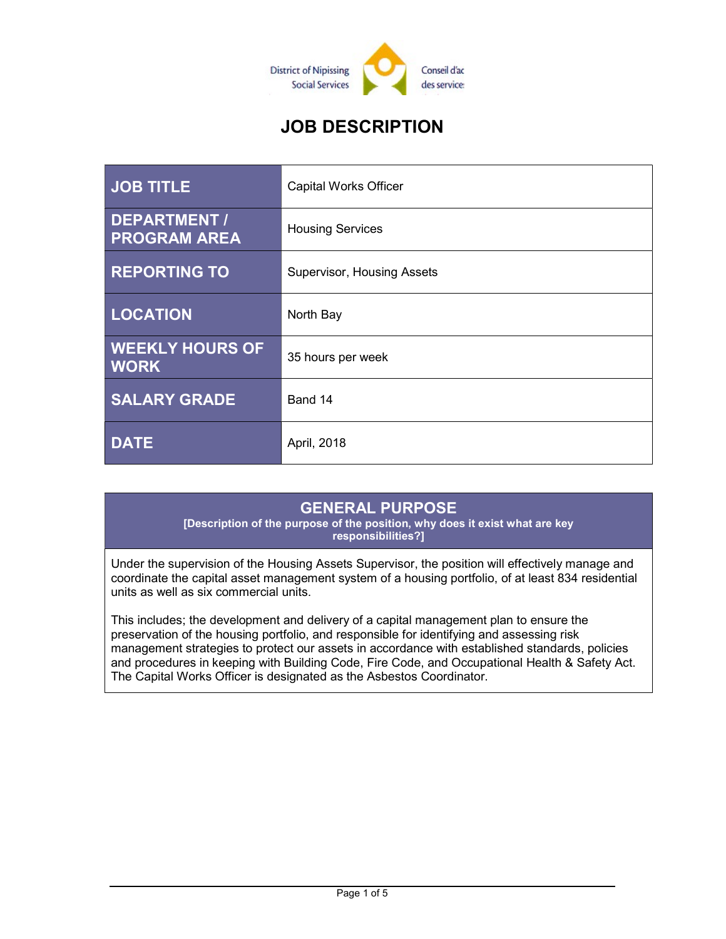

# JOB DESCRIPTION

| <b>JOB TITLE</b>                           | <b>Capital Works Officer</b> |
|--------------------------------------------|------------------------------|
| <b>DEPARTMENT /</b><br><b>PROGRAM AREA</b> | <b>Housing Services</b>      |
| <b>REPORTING TO</b>                        | Supervisor, Housing Assets   |
| <b>LOCATION</b>                            | North Bay                    |
| <b>WEEKLY HOURS OF</b><br><b>WORK</b>      | 35 hours per week            |
| <b>SALARY GRADE</b>                        | Band 14                      |
| <b>DATE</b>                                | April, 2018                  |

## GENERAL PURPOSE

[Description of the purpose of the position, why does it exist what are key responsibilities?]

Under the supervision of the Housing Assets Supervisor, the position will effectively manage and coordinate the capital asset management system of a housing portfolio, of at least 834 residential units as well as six commercial units.

This includes; the development and delivery of a capital management plan to ensure the preservation of the housing portfolio, and responsible for identifying and assessing risk management strategies to protect our assets in accordance with established standards, policies and procedures in keeping with Building Code, Fire Code, and Occupational Health & Safety Act. The Capital Works Officer is designated as the Asbestos Coordinator.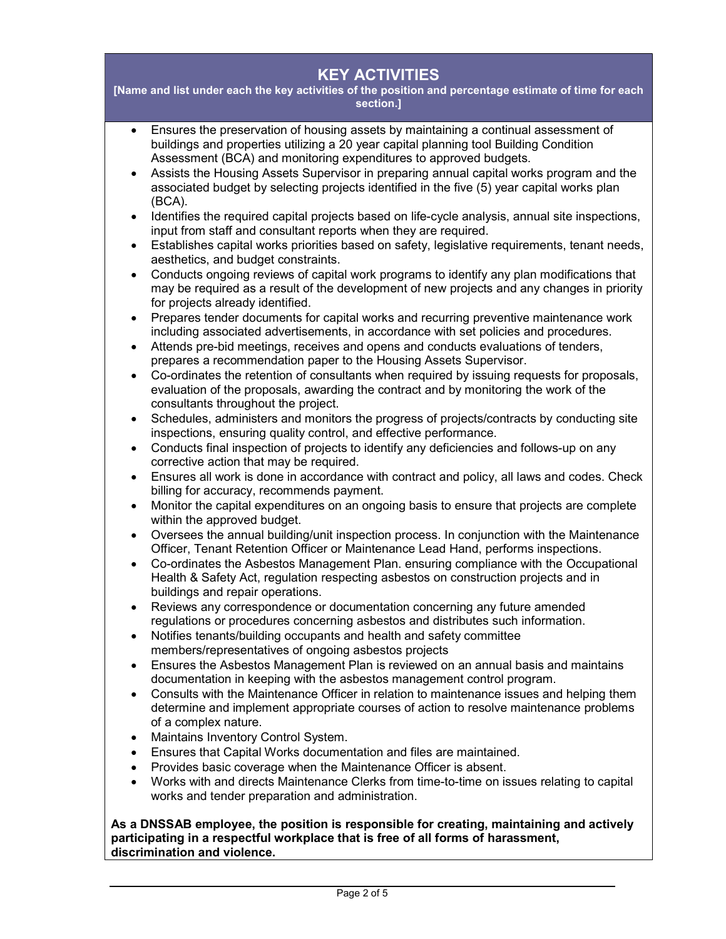### KEY ACTIVITIES

[Name and list under each the key activities of the position and percentage estimate of time for each section.]

- Ensures the preservation of housing assets by maintaining a continual assessment of buildings and properties utilizing a 20 year capital planning tool Building Condition Assessment (BCA) and monitoring expenditures to approved budgets.
- Assists the Housing Assets Supervisor in preparing annual capital works program and the associated budget by selecting projects identified in the five (5) year capital works plan (BCA).
- Identifies the required capital projects based on life-cycle analysis, annual site inspections, input from staff and consultant reports when they are required.
- Establishes capital works priorities based on safety, legislative requirements, tenant needs, aesthetics, and budget constraints.
- Conducts ongoing reviews of capital work programs to identify any plan modifications that may be required as a result of the development of new projects and any changes in priority for projects already identified.
- Prepares tender documents for capital works and recurring preventive maintenance work including associated advertisements, in accordance with set policies and procedures.
- Attends pre-bid meetings, receives and opens and conducts evaluations of tenders, prepares a recommendation paper to the Housing Assets Supervisor.
- Co-ordinates the retention of consultants when required by issuing requests for proposals, evaluation of the proposals, awarding the contract and by monitoring the work of the consultants throughout the project.
- Schedules, administers and monitors the progress of projects/contracts by conducting site inspections, ensuring quality control, and effective performance.
- Conducts final inspection of projects to identify any deficiencies and follows-up on any corrective action that may be required.
- Ensures all work is done in accordance with contract and policy, all laws and codes. Check billing for accuracy, recommends payment.
- Monitor the capital expenditures on an ongoing basis to ensure that projects are complete within the approved budget.
- Oversees the annual building/unit inspection process. In conjunction with the Maintenance Officer, Tenant Retention Officer or Maintenance Lead Hand, performs inspections.
- Co-ordinates the Asbestos Management Plan. ensuring compliance with the Occupational Health & Safety Act, regulation respecting asbestos on construction projects and in buildings and repair operations.
- Reviews any correspondence or documentation concerning any future amended regulations or procedures concerning asbestos and distributes such information.
- Notifies tenants/building occupants and health and safety committee members/representatives of ongoing asbestos projects
- Ensures the Asbestos Management Plan is reviewed on an annual basis and maintains documentation in keeping with the asbestos management control program.
- Consults with the Maintenance Officer in relation to maintenance issues and helping them determine and implement appropriate courses of action to resolve maintenance problems of a complex nature.
- Maintains Inventory Control System.
- Ensures that Capital Works documentation and files are maintained.
- Provides basic coverage when the Maintenance Officer is absent.
- Works with and directs Maintenance Clerks from time-to-time on issues relating to capital works and tender preparation and administration.

As a DNSSAB employee, the position is responsible for creating, maintaining and actively participating in a respectful workplace that is free of all forms of harassment, discrimination and violence.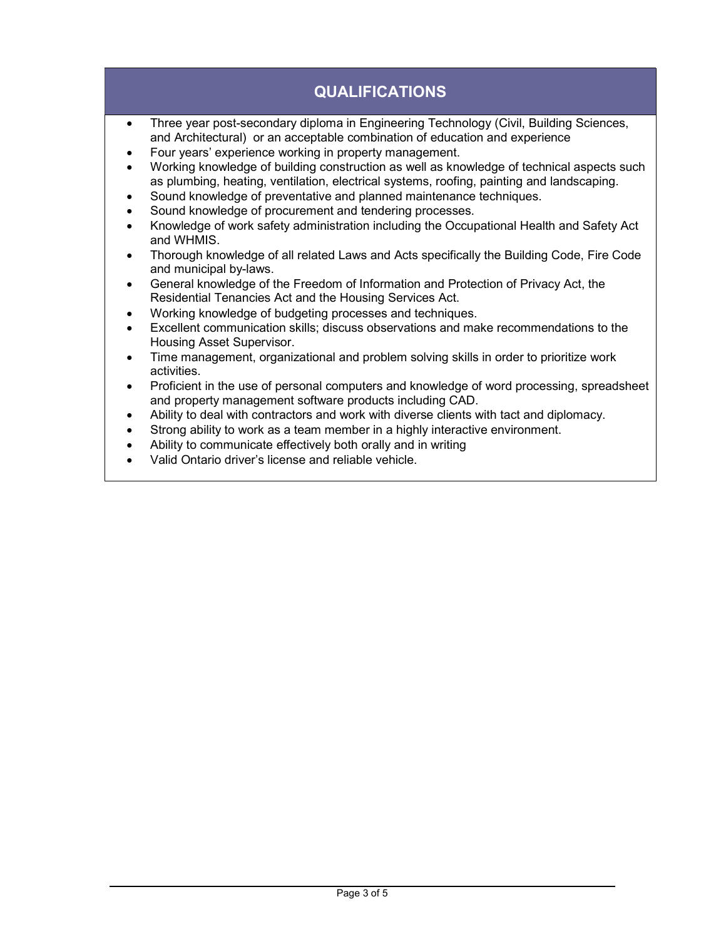## QUALIFICATIONS

- Three year post-secondary diploma in Engineering Technology (Civil, Building Sciences, and Architectural) or an acceptable combination of education and experience
- Four years' experience working in property management.
- Working knowledge of building construction as well as knowledge of technical aspects such as plumbing, heating, ventilation, electrical systems, roofing, painting and landscaping.
- Sound knowledge of preventative and planned maintenance techniques.
- Sound knowledge of procurement and tendering processes.
- Knowledge of work safety administration including the Occupational Health and Safety Act and WHMIS.
- Thorough knowledge of all related Laws and Acts specifically the Building Code, Fire Code and municipal by-laws.
- General knowledge of the Freedom of Information and Protection of Privacy Act, the Residential Tenancies Act and the Housing Services Act.
- Working knowledge of budgeting processes and techniques.
- Excellent communication skills; discuss observations and make recommendations to the Housing Asset Supervisor.
- Time management, organizational and problem solving skills in order to prioritize work activities.
- Proficient in the use of personal computers and knowledge of word processing, spreadsheet and property management software products including CAD.
- Ability to deal with contractors and work with diverse clients with tact and diplomacy.
- Strong ability to work as a team member in a highly interactive environment.
- Ability to communicate effectively both orally and in writing
- Valid Ontario driver's license and reliable vehicle.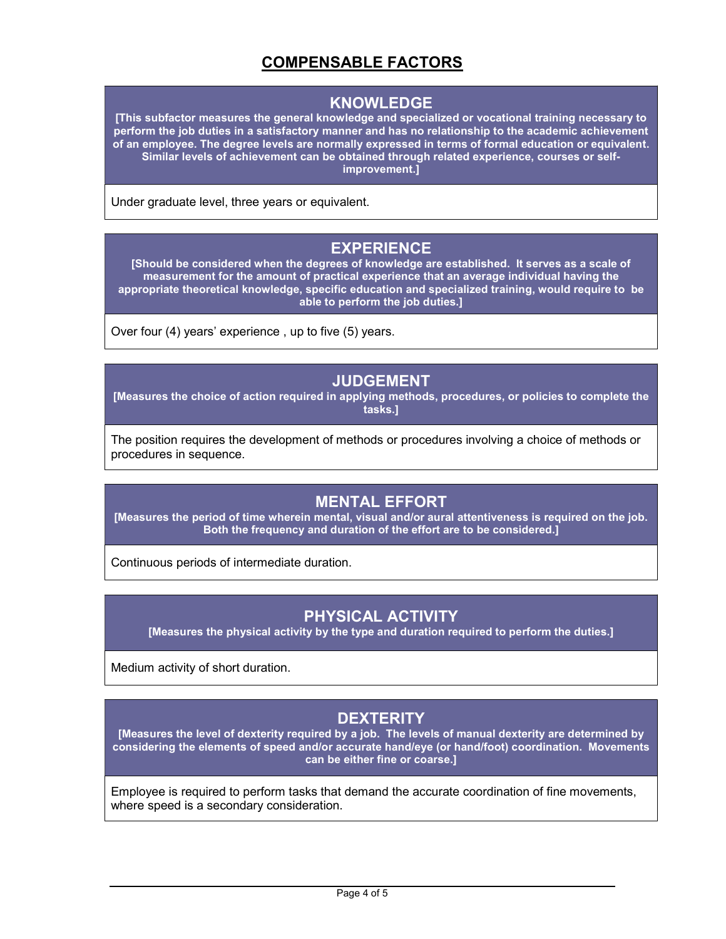## COMPENSABLE FACTORS

#### KNOWLEDGE

[This subfactor measures the general knowledge and specialized or vocational training necessary to perform the job duties in a satisfactory manner and has no relationship to the academic achievement of an employee. The degree levels are normally expressed in terms of formal education or equivalent. Similar levels of achievement can be obtained through related experience, courses or selfimprovement.]

Under graduate level, three years or equivalent.

#### EXPERIENCE

[Should be considered when the degrees of knowledge are established. It serves as a scale of measurement for the amount of practical experience that an average individual having the appropriate theoretical knowledge, specific education and specialized training, would require to be able to perform the job duties.]

Over four (4) years' experience , up to five (5) years.

#### JUDGEMENT

[Measures the choice of action required in applying methods, procedures, or policies to complete the tasks.]

The position requires the development of methods or procedures involving a choice of methods or procedures in sequence.

#### MENTAL EFFORT

[Measures the period of time wherein mental, visual and/or aural attentiveness is required on the job. Both the frequency and duration of the effort are to be considered.]

Continuous periods of intermediate duration.

## PHYSICAL ACTIVITY

[Measures the physical activity by the type and duration required to perform the duties.]

Medium activity of short duration.

## **DEXTERITY**

[Measures the level of dexterity required by a job. The levels of manual dexterity are determined by considering the elements of speed and/or accurate hand/eye (or hand/foot) coordination. Movements can be either fine or coarse.]

Employee is required to perform tasks that demand the accurate coordination of fine movements, where speed is a secondary consideration.